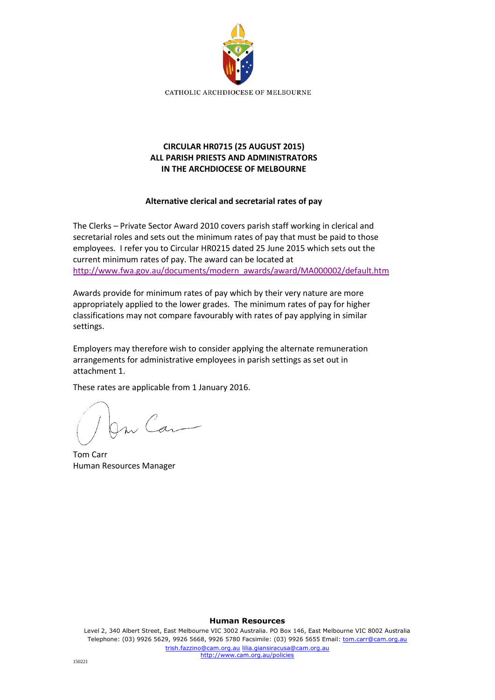

# **CIRCULAR HR0715 (25 AUGUST 2015) ALL PARISH PRIESTS AND ADMINISTRATORS IN THE ARCHDIOCESE OF MELBOURNE**

## **Alternative clerical and secretarial rates of pay**

The Clerks – Private Sector Award 2010 covers parish staff working in clerical and secretarial roles and sets out the minimum rates of pay that must be paid to those employees. I refer you to Circular HR0215 dated 25 June 2015 which sets out the current minimum rates of pay. The award can be located at [http://www.fwa.gov.au/documents/modern\\_awards/award/MA000002/default.htm](http://www.fwa.gov.au/documents/modern_awards/award/MA000002/default.htm)

Awards provide for minimum rates of pay which by their very nature are more appropriately applied to the lower grades. The minimum rates of pay for higher classifications may not compare favourably with rates of pay applying in similar settings.

Employers may therefore wish to consider applying the alternate remuneration arrangements for administrative employees in parish settings as set out in attachment 1.

These rates are applicable from 1 January 2016.

On Can

Tom Carr Human Resources Manager

#### **Human Resources**

Level 2, 340 Albert Street, East Melbourne VIC 3002 Australia. PO Box 146, East Melbourne VIC 8002 Australia Telephone: (03) 9926 5629, 9926 5668, 9926 5780 Facsimile: (03) 9926 5655 Email: tom.carr@cam.org.au trish.fazzino@cam.org.au lilia.giansiracusa@cam.org.au http://www.cam.org.au/policies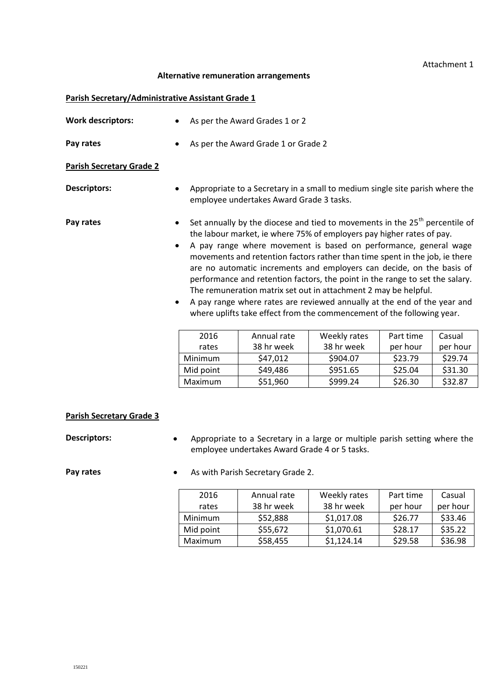### Attachment 1

#### **Alternative remuneration arrangements**

#### **Parish Secretary/Administrative Assistant Grade 1**

| <b>Work descriptors:</b>        |           | As per the Award Grades 1 or 2                                                                                                                                                                                                                                                                                                                                                                                                                                                                                                                                                                                                                                                                        |              |           |          |  |
|---------------------------------|-----------|-------------------------------------------------------------------------------------------------------------------------------------------------------------------------------------------------------------------------------------------------------------------------------------------------------------------------------------------------------------------------------------------------------------------------------------------------------------------------------------------------------------------------------------------------------------------------------------------------------------------------------------------------------------------------------------------------------|--------------|-----------|----------|--|
| Pay rates                       |           | As per the Award Grade 1 or Grade 2                                                                                                                                                                                                                                                                                                                                                                                                                                                                                                                                                                                                                                                                   |              |           |          |  |
| <b>Parish Secretary Grade 2</b> |           |                                                                                                                                                                                                                                                                                                                                                                                                                                                                                                                                                                                                                                                                                                       |              |           |          |  |
| <b>Descriptors:</b>             |           | Appropriate to a Secretary in a small to medium single site parish where the<br>employee undertakes Award Grade 3 tasks.                                                                                                                                                                                                                                                                                                                                                                                                                                                                                                                                                                              |              |           |          |  |
| Pay rates                       | $\bullet$ | Set annually by the diocese and tied to movements in the 25 <sup>th</sup> percentile of<br>the labour market, ie where 75% of employers pay higher rates of pay.<br>A pay range where movement is based on performance, general wage<br>movements and retention factors rather than time spent in the job, ie there<br>are no automatic increments and employers can decide, on the basis of<br>performance and retention factors, the point in the range to set the salary.<br>The remuneration matrix set out in attachment 2 may be helpful.<br>A pay range where rates are reviewed annually at the end of the year and<br>where uplifts take effect from the commencement of the following year. |              |           |          |  |
|                                 | 2016      | Annual rate                                                                                                                                                                                                                                                                                                                                                                                                                                                                                                                                                                                                                                                                                           | Weekly rates | Part time | Casual   |  |
|                                 | rates     | 38 hr week                                                                                                                                                                                                                                                                                                                                                                                                                                                                                                                                                                                                                                                                                            | 38 hr week   | per hour  | per hour |  |
|                                 | Minimum   | \$47,012                                                                                                                                                                                                                                                                                                                                                                                                                                                                                                                                                                                                                                                                                              | \$904.07     | \$23.79   | \$29.74  |  |
|                                 | Mid point | \$49,486                                                                                                                                                                                                                                                                                                                                                                                                                                                                                                                                                                                                                                                                                              | \$951.65     | \$25.04   | \$31.30  |  |
|                                 | Maximum   | \$51,960                                                                                                                                                                                                                                                                                                                                                                                                                                                                                                                                                                                                                                                                                              | \$999.24     | \$26.30   | \$32.87  |  |

#### **Parish Secretary Grade 3**

**Descriptors:** • Appropriate to a Secretary in a large or multiple parish setting where the employee undertakes Award Grade 4 or 5 tasks.

**Pay rates •** As with Parish Secretary Grade 2.

| 2016      | Annual rate | Weekly rates | Part time | Casual   |
|-----------|-------------|--------------|-----------|----------|
| rates     | 38 hr week  | 38 hr week   | per hour  | per hour |
| Minimum   | \$52,888    | \$1,017.08   | \$26.77   | \$33.46  |
| Mid point | \$55,672    | \$1,070.61   | \$28.17   | \$35.22  |
| Maximum   | \$58,455    | \$1,124.14   | \$29.58   | \$36.98  |